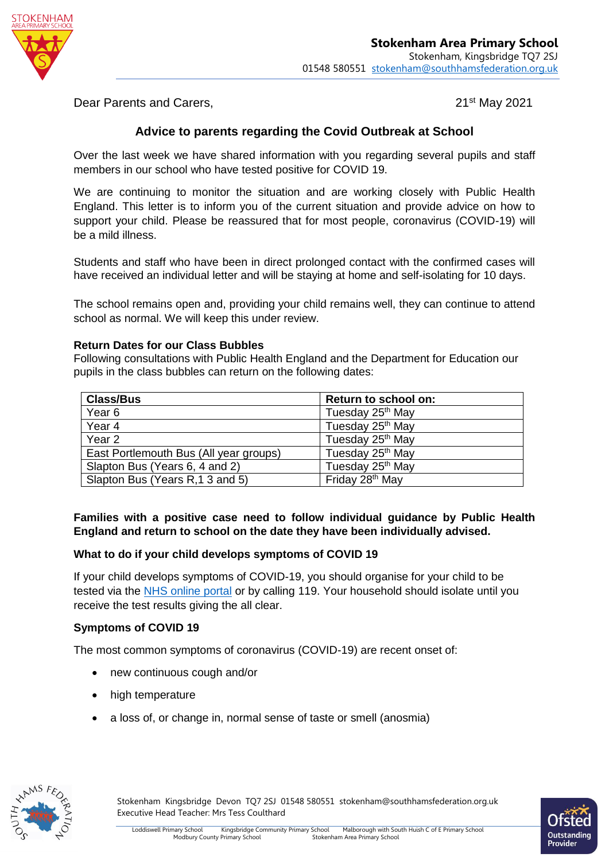

Dear Parents and Carers, 2001 and 2021 **21st May 2021** 

# **Advice to parents regarding the Covid Outbreak at School**

Over the last week we have shared information with you regarding several pupils and staff members in our school who have tested positive for COVID 19.

We are continuing to monitor the situation and are working closely with Public Health England. This letter is to inform you of the current situation and provide advice on how to support your child. Please be reassured that for most people, coronavirus (COVID-19) will be a mild illness.

Students and staff who have been in direct prolonged contact with the confirmed cases will have received an individual letter and will be staying at home and self-isolating for 10 days.

The school remains open and, providing your child remains well, they can continue to attend school as normal. We will keep this under review.

#### **Return Dates for our Class Bubbles**

Following consultations with Public Health England and the Department for Education our pupils in the class bubbles can return on the following dates:

| <b>Class/Bus</b>                       | Return to school on:         |
|----------------------------------------|------------------------------|
| Year <sub>6</sub>                      | Tuesday 25 <sup>th</sup> May |
| Year 4                                 | Tuesday 25 <sup>th</sup> May |
| Year <sub>2</sub>                      | Tuesday 25 <sup>th</sup> May |
| East Portlemouth Bus (All year groups) | Tuesday 25 <sup>th</sup> May |
| Slapton Bus (Years 6, 4 and 2)         | Tuesday 25 <sup>th</sup> May |
| Slapton Bus (Years R, 1 3 and 5)       | Friday 28 <sup>th</sup> May  |

**Families with a positive case need to follow individual guidance by Public Health England and return to school on the date they have been individually advised.**

#### **What to do if your child develops symptoms of COVID 19**

If your child develops symptoms of COVID-19, you should organise for your child to be tested via the [NHS online portal](https://111.nhs.uk/covid-19) or by calling 119. Your household should isolate until you receive the test results giving the all clear.

#### **Symptoms of COVID 19**

The most common symptoms of coronavirus (COVID-19) are recent onset of:

- new continuous cough and/or
- high temperature
- a loss of, or change in, normal sense of taste or smell (anosmia)



Stokenham Kingsbridge Devon TQ7 2SJ 01548 580551 stokenham@southhamsfederation.org.uk Executive Head Teacher: Mrs Tess Coulthard